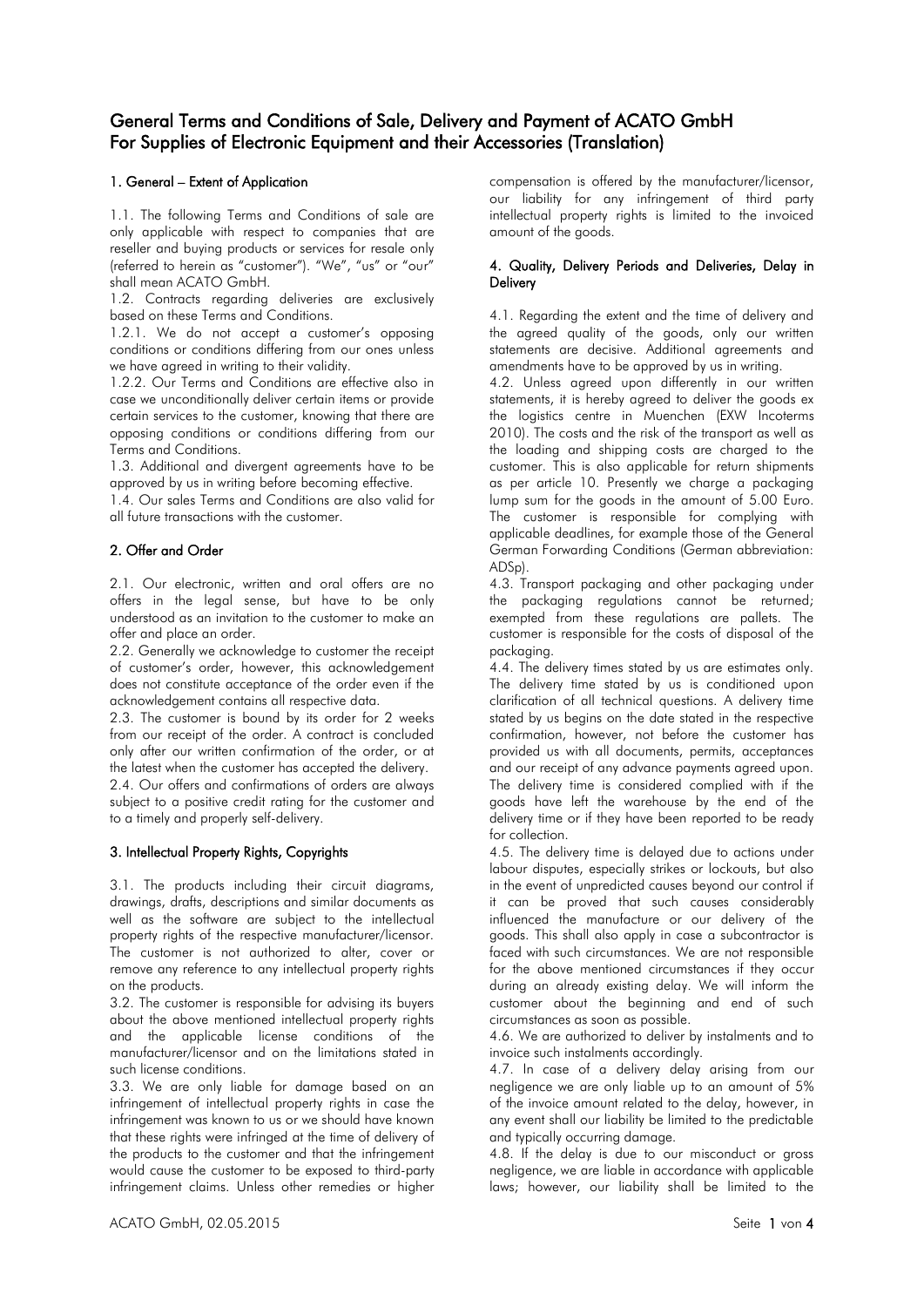# General Terms and Conditions of Sale, Delivery and Payment of ACATO GmbH For Supplies of Electronic Equipment and their Accessories (Translation)

# 1. General – Extent of Application

1.1. The following Terms and Conditions of sale are only applicable with respect to companies that are reseller and buying products or services for resale only (referred to herein as "customer"). "We", "us" or "our" shall mean ACATO GmbH.

1.2. Contracts regarding deliveries are exclusively based on these Terms and Conditions.

1.2.1. We do not accept a customer's opposing conditions or conditions differing from our ones unless we have agreed in writing to their validity.

1.2.2. Our Terms and Conditions are effective also in case we unconditionally deliver certain items or provide certain services to the customer, knowing that there are opposing conditions or conditions differing from our Terms and Conditions.

1.3. Additional and divergent agreements have to be approved by us in writing before becoming effective.

1.4. Our sales Terms and Conditions are also valid for all future transactions with the customer.

### 2. Offer and Order

2.1. Our electronic, written and oral offers are no offers in the legal sense, but have to be only understood as an invitation to the customer to make an offer and place an order.

2.2. Generally we acknowledge to customer the receipt of customer's order, however, this acknowledgement does not constitute acceptance of the order even if the acknowledgement contains all respective data.

2.3. The customer is bound by its order for 2 weeks from our receipt of the order. A contract is concluded only after our written confirmation of the order, or at the latest when the customer has accepted the delivery.

2.4. Our offers and confirmations of orders are always subject to a positive credit rating for the customer and to a timely and properly self-delivery.

## 3. Intellectual Property Rights, Copyrights

3.1. The products including their circuit diagrams, drawings, drafts, descriptions and similar documents as well as the software are subject to the intellectual property rights of the respective manufacturer/licensor. The customer is not authorized to alter, cover or remove any reference to any intellectual property rights on the products.

3.2. The customer is responsible for advising its buyers about the above mentioned intellectual property rights and the applicable license conditions of the manufacturer/licensor and on the limitations stated in such license conditions.

3.3. We are only liable for damage based on an infringement of intellectual property rights in case the infringement was known to us or we should have known that these rights were infringed at the time of delivery of the products to the customer and that the infringement would cause the customer to be exposed to third-party infringement claims. Unless other remedies or higher

compensation is offered by the manufacturer/licensor, our liability for any infringement of third party intellectual property rights is limited to the invoiced amount of the goods.

### 4. Quality, Delivery Periods and Deliveries, Delay in **Delivery**

4.1. Regarding the extent and the time of delivery and the agreed quality of the goods, only our written statements are decisive. Additional agreements and amendments have to be approved by us in writing.

4.2. Unless agreed upon differently in our written statements, it is hereby agreed to deliver the goods ex the logistics centre in Muenchen (EXW Incoterms 2010). The costs and the risk of the transport as well as the loading and shipping costs are charged to the customer. This is also applicable for return shipments as per article 10. Presently we charge a packaging lump sum for the goods in the amount of 5.00 Euro. The customer is responsible for complying with applicable deadlines, for example those of the General German Forwarding Conditions (German abbreviation: ADSp).

4.3. Transport packaging and other packaging under the packaging regulations cannot be returned; exempted from these regulations are pallets. The customer is responsible for the costs of disposal of the packaging.

4.4. The delivery times stated by us are estimates only. The delivery time stated by us is conditioned upon clarification of all technical questions. A delivery time stated by us begins on the date stated in the respective confirmation, however, not before the customer has provided us with all documents, permits, acceptances and our receipt of any advance payments agreed upon. The delivery time is considered complied with if the goods have left the warehouse by the end of the delivery time or if they have been reported to be ready for collection.

4.5. The delivery time is delayed due to actions under labour disputes, especially strikes or lockouts, but also in the event of unpredicted causes beyond our control if it can be proved that such causes considerably influenced the manufacture or our delivery of the goods. This shall also apply in case a subcontractor is faced with such circumstances. We are not responsible for the above mentioned circumstances if they occur during an already existing delay. We will inform the customer about the beginning and end of such circumstances as soon as possible.

4.6. We are authorized to deliver by instalments and to invoice such instalments accordingly.

4.7. In case of a delivery delay arising from our negligence we are only liable up to an amount of 5% of the invoice amount related to the delay, however, in any event shall our liability be limited to the predictable and typically occurring damage.

4.8. If the delay is due to our misconduct or gross negligence, we are liable in accordance with applicable laws; however, our liability shall be limited to the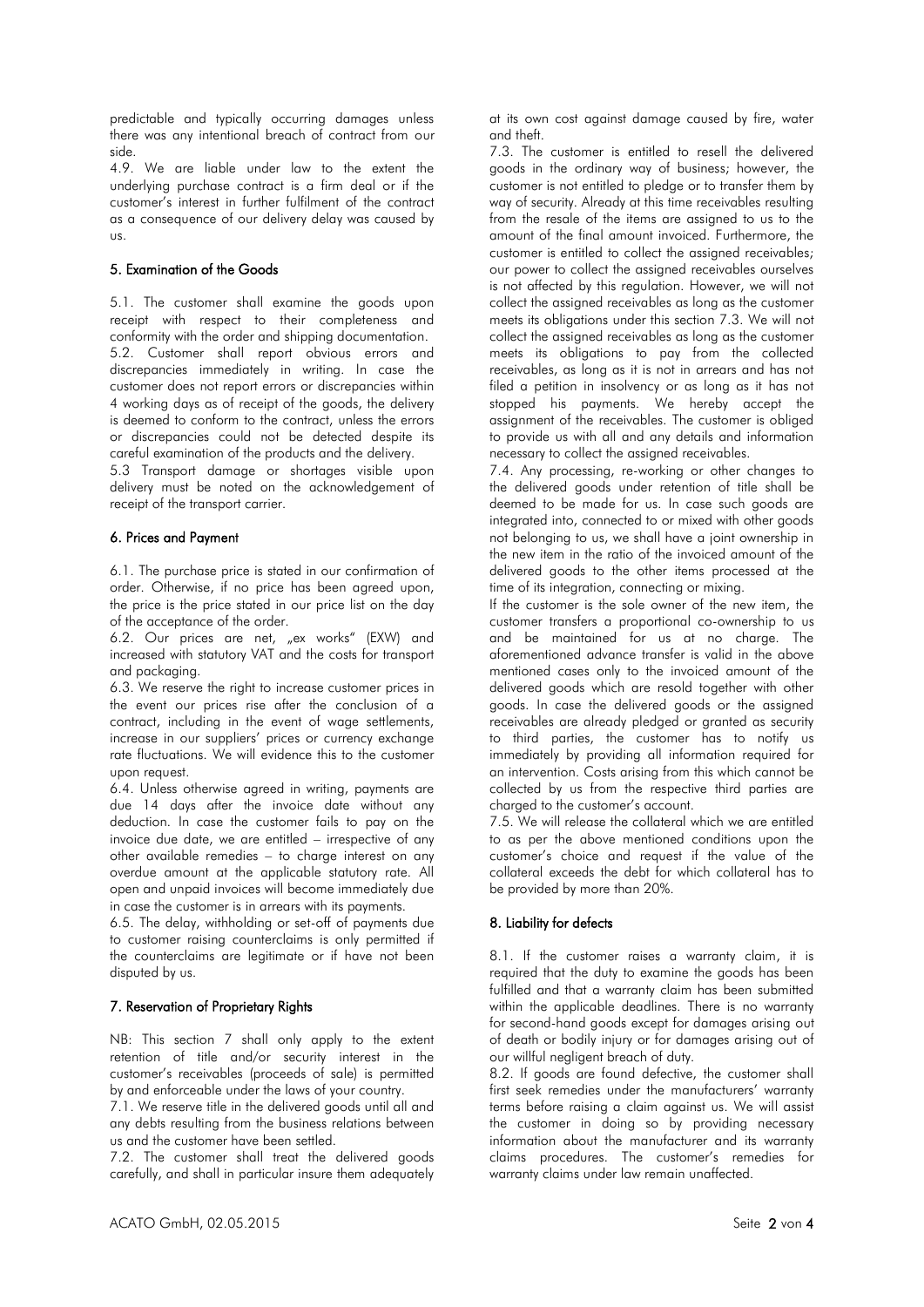predictable and typically occurring damages unless there was any intentional breach of contract from our side.

4.9. We are liable under law to the extent the underlying purchase contract is a firm deal or if the customer's interest in further fulfilment of the contract as a consequence of our delivery delay was caused by us.

### 5. Examination of the Goods

5.1. The customer shall examine the goods upon receipt with respect to their completeness and conformity with the order and shipping documentation. 5.2. Customer shall report obvious errors and discrepancies immediately in writing. In case the customer does not report errors or discrepancies within 4 working days as of receipt of the goods, the delivery is deemed to conform to the contract, unless the errors or discrepancies could not be detected despite its careful examination of the products and the delivery.

5.3 Transport damage or shortages visible upon delivery must be noted on the acknowledgement of receipt of the transport carrier.

# 6. Prices and Payment

6.1. The purchase price is stated in our confirmation of order. Otherwise, if no price has been agreed upon, the price is the price stated in our price list on the day of the acceptance of the order.

6.2. Our prices are net, "ex works" (EXW) and increased with statutory VAT and the costs for transport and packaging.

6.3. We reserve the right to increase customer prices in the event our prices rise after the conclusion of a contract, including in the event of wage settlements, increase in our suppliers' prices or currency exchange rate fluctuations. We will evidence this to the customer upon request.

6.4. Unless otherwise agreed in writing, payments are due 14 days after the invoice date without any deduction. In case the customer fails to pay on the invoice due date, we are entitled – irrespective of any other available remedies – to charge interest on any overdue amount at the applicable statutory rate. All open and unpaid invoices will become immediately due in case the customer is in arrears with its payments.

6.5. The delay, withholding or set-off of payments due to customer raising counterclaims is only permitted if the counterclaims are legitimate or if have not been disputed by us.

#### 7. Reservation of Proprietary Rights

NB: This section 7 shall only apply to the extent retention of title and/or security interest in the customer's receivables (proceeds of sale) is permitted by and enforceable under the laws of your country.

7.1. We reserve title in the delivered goods until all and any debts resulting from the business relations between us and the customer have been settled.

7.2. The customer shall treat the delivered goods carefully, and shall in particular insure them adequately at its own cost against damage caused by fire, water and theft.

7.3. The customer is entitled to resell the delivered goods in the ordinary way of business; however, the customer is not entitled to pledge or to transfer them by way of security. Already at this time receivables resulting from the resale of the items are assigned to us to the amount of the final amount invoiced. Furthermore, the customer is entitled to collect the assigned receivables; our power to collect the assigned receivables ourselves is not affected by this regulation. However, we will not collect the assigned receivables as long as the customer meets its obligations under this section 7.3. We will not collect the assigned receivables as long as the customer meets its obligations to pay from the collected receivables, as long as it is not in arrears and has not filed a petition in insolvency or as long as it has not stopped his payments. We hereby accept the assignment of the receivables. The customer is obliged to provide us with all and any details and information necessary to collect the assigned receivables.

7.4. Any processing, re-working or other changes to the delivered goods under retention of title shall be deemed to be made for us. In case such goods are integrated into, connected to or mixed with other goods not belonging to us, we shall have a joint ownership in the new item in the ratio of the invoiced amount of the delivered goods to the other items processed at the time of its integration, connecting or mixing.

If the customer is the sole owner of the new item, the customer transfers a proportional co-ownership to us and be maintained for us at no charge. The aforementioned advance transfer is valid in the above mentioned cases only to the invoiced amount of the delivered goods which are resold together with other goods. In case the delivered goods or the assigned receivables are already pledged or granted as security to third parties, the customer has to notify us immediately by providing all information required for an intervention. Costs arising from this which cannot be collected by us from the respective third parties are charged to the customer's account.

7.5. We will release the collateral which we are entitled to as per the above mentioned conditions upon the customer's choice and request if the value of the collateral exceeds the debt for which collateral has to be provided by more than 20%.

# 8. Liability for defects

8.1. If the customer raises a warranty claim, it is required that the duty to examine the goods has been fulfilled and that a warranty claim has been submitted within the applicable deadlines. There is no warranty for second-hand goods except for damages arising out of death or bodily injury or for damages arising out of our willful negligent breach of duty.

8.2. If goods are found defective, the customer shall first seek remedies under the manufacturers' warranty terms before raising a claim against us. We will assist the customer in doing so by providing necessary information about the manufacturer and its warranty claims procedures. The customer's remedies for warranty claims under law remain unaffected.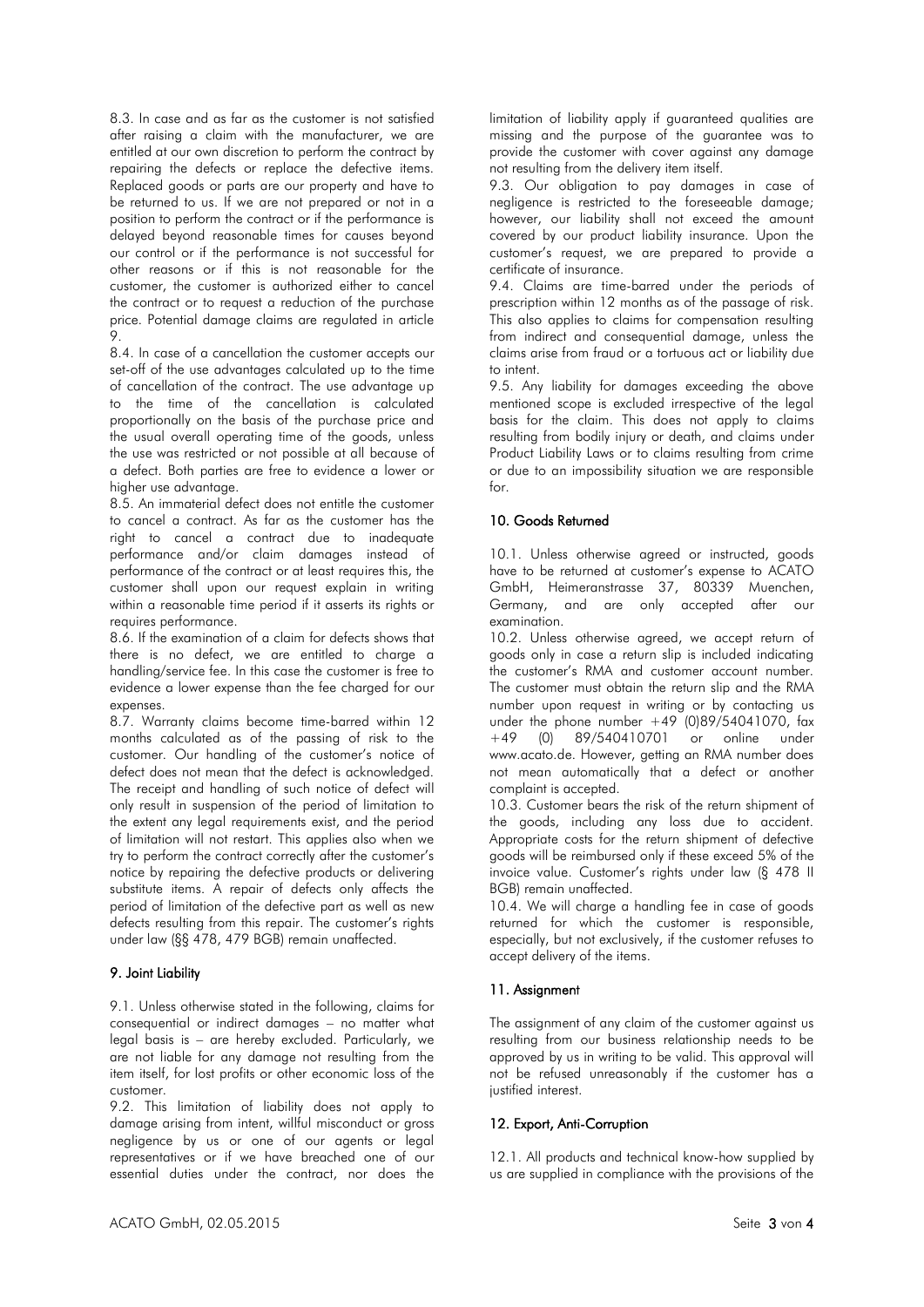8.3. In case and as far as the customer is not satisfied after raising a claim with the manufacturer, we are entitled at our own discretion to perform the contract by repairing the defects or replace the defective items. Replaced goods or parts are our property and have to be returned to us. If we are not prepared or not in a position to perform the contract or if the performance is delayed beyond reasonable times for causes beyond our control or if the performance is not successful for other reasons or if this is not reasonable for the customer, the customer is authorized either to cancel the contract or to request a reduction of the purchase price. Potential damage claims are regulated in article 9.

8.4. In case of a cancellation the customer accepts our set-off of the use advantages calculated up to the time of cancellation of the contract. The use advantage up to the time of the cancellation is calculated proportionally on the basis of the purchase price and the usual overall operating time of the goods, unless the use was restricted or not possible at all because of a defect. Both parties are free to evidence a lower or higher use advantage.

8.5. An immaterial defect does not entitle the customer to cancel a contract. As far as the customer has the right to cancel a contract due to inadequate performance and/or claim damages instead of performance of the contract or at least requires this, the customer shall upon our request explain in writing within a reasonable time period if it asserts its rights or requires performance.

8.6. If the examination of a claim for defects shows that there is no defect, we are entitled to charge a handling/service fee. In this case the customer is free to evidence a lower expense than the fee charged for our expenses.

8.7. Warranty claims become time-barred within 12 months calculated as of the passing of risk to the customer. Our handling of the customer's notice of defect does not mean that the defect is acknowledged. The receipt and handling of such notice of defect will only result in suspension of the period of limitation to the extent any legal requirements exist, and the period of limitation will not restart. This applies also when we try to perform the contract correctly after the customer's notice by repairing the defective products or delivering substitute items. A repair of defects only affects the period of limitation of the defective part as well as new defects resulting from this repair. The customer's rights under law (§§ 478, 479 BGB) remain unaffected.

### 9. Joint Liability

9.1. Unless otherwise stated in the following, claims for consequential or indirect damages – no matter what legal basis is – are hereby excluded. Particularly, we are not liable for any damage not resulting from the item itself, for lost profits or other economic loss of the customer.

9.2. This limitation of liability does not apply to damage arising from intent, willful misconduct or gross negligence by us or one of our agents or legal representatives or if we have breached one of our essential duties under the contract, nor does the

limitation of liability apply if guaranteed qualities are missing and the purpose of the guarantee was to provide the customer with cover against any damage not resulting from the delivery item itself.

9.3. Our obligation to pay damages in case of negligence is restricted to the foreseeable damage; however, our liability shall not exceed the amount covered by our product liability insurance. Upon the customer's request, we are prepared to provide a certificate of insurance.

9.4. Claims are time-barred under the periods of prescription within 12 months as of the passage of risk. This also applies to claims for compensation resulting from indirect and consequential damage, unless the claims arise from fraud or a tortuous act or liability due to intent.

9.5. Any liability for damages exceeding the above mentioned scope is excluded irrespective of the legal basis for the claim. This does not apply to claims resulting from bodily injury or death, and claims under Product Liability Laws or to claims resulting from crime or due to an impossibility situation we are responsible  $f$ 

# 10. Goods Returned

10.1. Unless otherwise agreed or instructed, goods have to be returned at customer's expense to ACATO GmbH, Heimeranstrasse 37, 80339 Muenchen, Germany, and are only accepted after our examination.

10.2. Unless otherwise agreed, we accept return of goods only in case a return slip is included indicating the customer's RMA and customer account number. The customer must obtain the return slip and the RMA number upon request in writing or by contacting us under the phone number  $+49(0)89/54041070$ , fax  $+49(0)$  89/540410701 or online under  $\overline{\text{or}}$  online under www.acato.de. However, getting an RMA number does not mean automatically that a defect or another complaint is accepted.

10.3. Customer bears the risk of the return shipment of the goods, including any loss due to accident. Appropriate costs for the return shipment of defective goods will be reimbursed only if these exceed 5% of the invoice value. Customer's rights under law (§ 478 II BGB) remain unaffected.

10.4. We will charge a handling fee in case of goods returned for which the customer is responsible, especially, but not exclusively, if the customer refuses to accept delivery of the items.

# 11. Assignment

The assignment of any claim of the customer against us resulting from our business relationship needs to be approved by us in writing to be valid. This approval will not be refused unreasonably if the customer has a justified interest.

## 12. Export, Anti-Corruption

12.1. All products and technical know-how supplied by us are supplied in compliance with the provisions of the